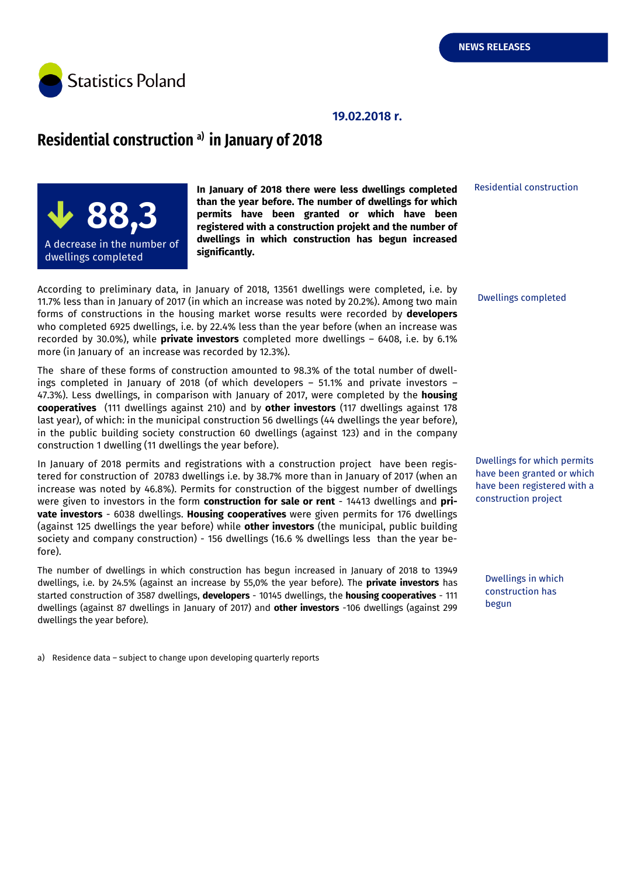Residential construction

Dwellings completed



#### **19.02.2018 r.**

## **Residential construction a) in January of 2018**



**In January of 2018 there were less dwellings completed than the year before. The number of dwellings for which permits have been granted or which have been registered with a construction projekt and the number of dwellings in which construction has begun increased significantly.**

According to preliminary data, in January of 2018, 13561 dwellings were completed, i.e. by 11.7% less than in January of 2017 (in which an increase was noted by 20.2%). Among two main forms of constructions in the housing market worse results were recorded by **developers** who completed 6925 dwellings, i.e. by 22.4% less than the year before (when an increase was recorded by 30.0%), while **private investors** completed more dwellings – 6408, i.e. by 6.1% more (in January of an increase was recorded by 12.3%).

The share of these forms of construction amounted to 98.3% of the total number of dwellings completed in January of 2018 (of which developers – 51.1% and private investors – 47.3%). Less dwellings, in comparison with January of 2017, were completed by the **housing cooperatives** (111 dwellings against 210) and by **other investors** (117 dwellings against 178 last year), of which: in the municipal construction 56 dwellings (44 dwellings the year before), in the public building society construction 60 dwellings (against 123) and in the company construction 1 dwelling (11 dwellings the year before).

In January of 2018 permits and registrations with a construction project have been registered for construction of 20783 dwellings i.e. by 38.7% more than in January of 2017 (when an increase was noted by 46.8%). Permits for construction of the biggest number of dwellings were given to investors in the form **construction for sale or rent** - 14413 dwellings and **private investors** - 6038 dwellings. **Housing cooperatives** were given permits for 176 dwellings (against 125 dwellings the year before) while **other investors** (the municipal, public building society and company construction) - 156 dwellings (16.6 % dwellings less than the year before).

The number of dwellings in which construction has begun increased in January of 2018 to 13949 dwellings, i.e. by 24.5% (against an increase by 55,0% the year before). The **private investors** has started construction of 3587 dwellings, **developers** - 10145 dwellings, the **housing cooperatives** - 111 dwellings (against 87 dwellings in January of 2017) and **other investors** -106 dwellings (against 299 dwellings the year before).

construction project

Dwellings for which permits have been granted or which have been registered with a

Dwellings in which construction has begun

a) Residence data – subject to change upon developing quarterly reports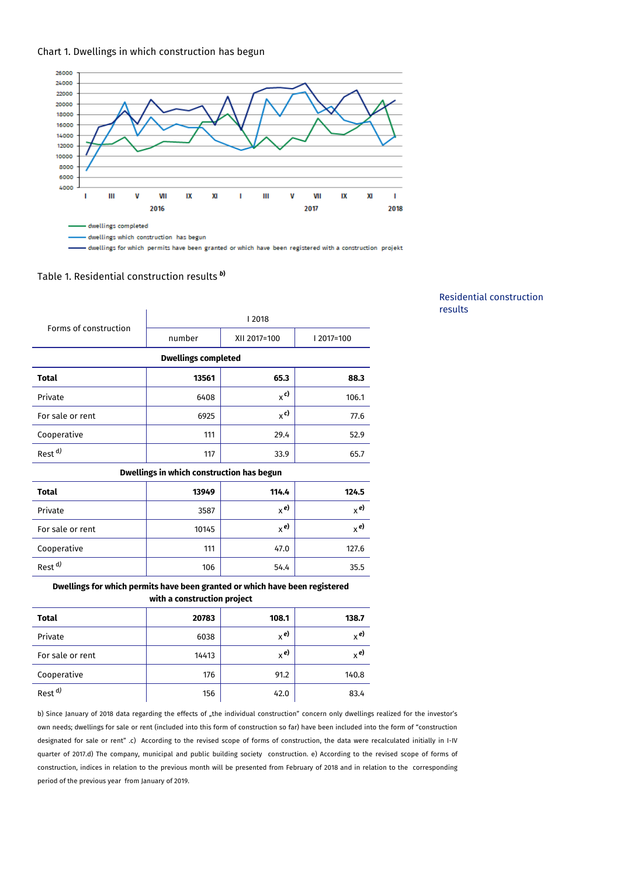



- dwellings for which permits have been granted or which have been registered with a construction projekt

### Table 1. Residential construction results *<sup>b</sup>***)**

| Forms of construction                                                       | 2018   |              |              |  |
|-----------------------------------------------------------------------------|--------|--------------|--------------|--|
|                                                                             | number | XII 2017=100 | $12017=100$  |  |
| <b>Dwellings completed</b>                                                  |        |              |              |  |
| <b>Total</b>                                                                | 13561  | 65.3         | 88.3         |  |
| Private                                                                     | 6408   | $x^{c}$      | 106.1        |  |
| For sale or rent                                                            | 6925   | $x^{c}$      | 77.6         |  |
| Cooperative                                                                 | 111    | 29.4         | 52.9         |  |
| Rest <sup>d)</sup>                                                          | 117    | 33.9         | 65.7         |  |
| Dwellings in which construction has begun                                   |        |              |              |  |
| <b>Total</b>                                                                | 13949  | 114.4        | 124.5        |  |
| Private                                                                     | 3587   | $x^{e}$      | $_{\chi}$ e) |  |
| For sale or rent                                                            | 10145  | $x^{e}$      | $x^{e}$      |  |
| Cooperative                                                                 | 111    | 47.0         | 127.6        |  |
| Rest <sup>d)</sup>                                                          | 106    | 54.4         | 35.5         |  |
| Dwellings for which permits have been granted or which have been registered |        |              |              |  |

Residential construction results

# **with a construction project**

| <b>Total</b>       | 20783 | 108.1        | 138.7        |
|--------------------|-------|--------------|--------------|
| Private            | 6038  | $x^{e}$      | $_{\chi}$ e) |
| For sale or rent   | 14413 | $_{\chi}$ e) | $_{\chi}$ e) |
| Cooperative        | 176   | 91.2         | 140.8        |
| Rest <sup>d)</sup> | 156   | 42.0         | 83.4         |

b) Since January of 2018 data regarding the effects of "the individual construction" concern only dwellings realized for the investor's own needs; dwellings for sale or rent (included into this form of construction so far) have been included into the form of "construction designated for sale or rent" .c) According to the revised scope of forms of construction, the data were recalculated initially in I-IV quarter of 2017.d) The company, municipal and public building society construction. e) According to the revised scope of forms of construction, indices in relation to the previous month will be presented from February of 2018 and in relation to the corresponding period of the previous year from January of 2019.